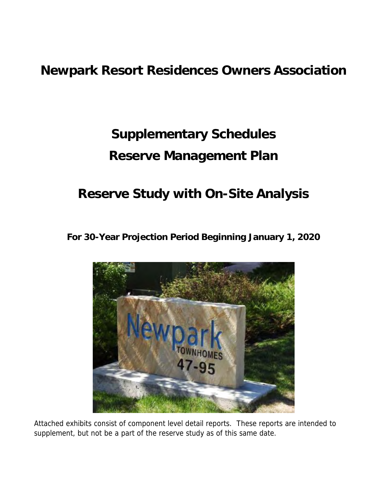# **Supplementary Schedules Reserve Management Plan**

# **Reserve Study with On-Site Analysis**

**For 30-Year Projection Period Beginning January 1, 2020**



Attached exhibits consist of component level detail reports. These reports are intended to supplement, but not be a part of the reserve study as of this same date.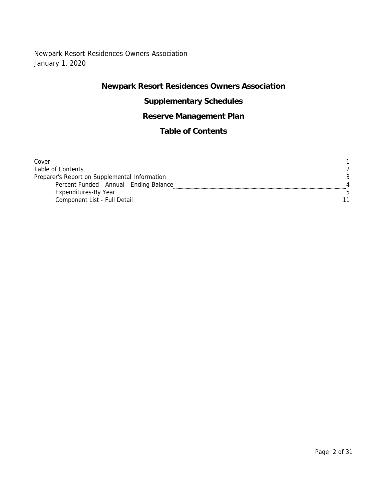## Newpark Resort Residences Owners Association January 1, 2020

## **Newpark Resort Residences Owners Association**

## **Supplementary Schedules**

## **Reserve Management Plan**

## **Table of Contents**

| Cover                                         |  |
|-----------------------------------------------|--|
| Table of Contents                             |  |
| Preparer's Report on Supplemental Information |  |
| Percent Funded - Annual - Ending Balance      |  |
| Expenditures-By Year                          |  |
| Component List - Full Detail                  |  |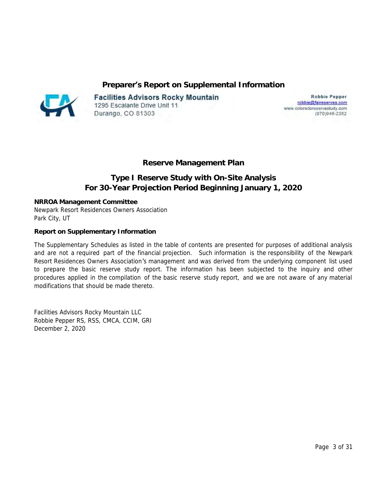**Preparer's Report on Supplemental Information**



**Facilities Advisors Rocky Mountain** 1295 Escalante Drive Unit 11 Durango, CO 81303

**Robbie Pepper** robbie@faireserves.com www.coloradoreservestudy.com (970)946-2352

**Reserve Management Plan**

## **Type I Reserve Study with On-Site Analysis For 30-Year Projection Period Beginning January 1, 2020**

**NRROA Management Committee** Newpark Resort Residences Owners Association Park City, UT

**Report on Supplementary Information** 

The Supplementary Schedules as listed in the table of contents are presented for purposes of additional analysis and are not a required part of the financial projection. Such information is the responsibility of the Newpark Resort Residences Owners Association's management and was derived from the underlying component list used to prepare the basic reserve study report. The information has been subjected to the inquiry and other procedures applied in the compilation of the basic reserve study report, and we are not aware of any material modifications that should be made thereto.

Facilities Advisors Rocky Mountain LLC Robbie Pepper RS, RSS, CMCA, CCIM, GRI December 2, 2020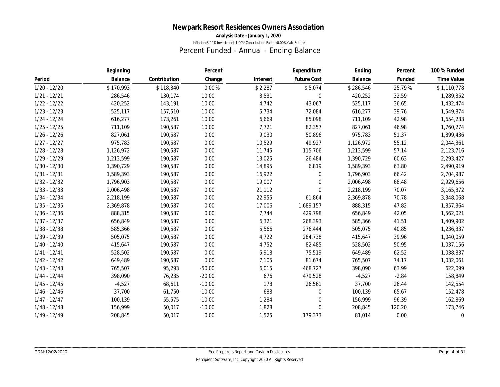**Analysis Date - January 1, 2020**

Inflation:3.00% Investment:1.00% Contribution Factor:0.00% Calc:Future

## Percent Funded - Annual - Ending Balance

|                | Beginning |              | Percent  |          | Expenditure        | Ending    | Percent | 100 % Funded |
|----------------|-----------|--------------|----------|----------|--------------------|-----------|---------|--------------|
| Period         | Balance   | Contribution | Change   | Interest | <b>Future Cost</b> | Balance   | Funded  | Time Value   |
| $1/20 - 12/20$ | \$170,993 | \$118,340    | $0.00\%$ | \$2,287  | \$5,074            | \$286,546 | 25.79%  | \$1,110,778  |
| $1/21 - 12/21$ | 286,546   | 130,174      | 10.00    | 3,531    | 0                  | 420,252   | 32.59   | 1,289,352    |
| $1/22 - 12/22$ | 420,252   | 143,191      | 10.00    | 4,742    | 43,067             | 525,117   | 36.65   | 1,432,474    |
| $1/23 - 12/23$ | 525,117   | 157,510      | 10.00    | 5,734    | 72,084             | 616,277   | 39.76   | 1,549,874    |
| $1/24 - 12/24$ | 616,277   | 173,261      | 10.00    | 6,669    | 85,098             | 711,109   | 42.98   | 1,654,233    |
| $1/25 - 12/25$ | 711,109   | 190,587      | 10.00    | 7,721    | 82,357             | 827,061   | 46.98   | 1,760,274    |
| $1/26 - 12/26$ | 827,061   | 190,587      | 0.00     | 9,030    | 50,896             | 975,783   | 51.37   | 1,899,436    |
| $1/27 - 12/27$ | 975,783   | 190,587      | 0.00     | 10,529   | 49,927             | 1,126,972 | 55.12   | 2,044,361    |
| $1/28 - 12/28$ | 1,126,972 | 190,587      | 0.00     | 11,745   | 115,706            | 1,213,599 | 57.14   | 2,123,716    |
| $1/29 - 12/29$ | 1,213,599 | 190,587      | 0.00     | 13,025   | 26,484             | 1,390,729 | 60.63   | 2,293,427    |
| $1/30 - 12/30$ | 1,390,729 | 190,587      | 0.00     | 14,895   | 6,819              | 1,589,393 | 63.80   | 2,490,919    |
| $1/31 - 12/31$ | 1,589,393 | 190,587      | 0.00     | 16,922   | 0                  | 1,796,903 | 66.42   | 2,704,987    |
| $1/32 - 12/32$ | 1,796,903 | 190,587      | 0.00     | 19,007   | 0                  | 2,006,498 | 68.48   | 2,929,656    |
| $1/33 - 12/33$ | 2,006,498 | 190,587      | 0.00     | 21,112   | 0                  | 2,218,199 | 70.07   | 3,165,372    |
| 1/34 - 12/34   | 2,218,199 | 190,587      | 0.00     | 22,955   | 61,864             | 2,369,878 | 70.78   | 3,348,068    |
| $1/35 - 12/35$ | 2,369,878 | 190,587      | 0.00     | 17,006   | 1,689,157          | 888,315   | 47.82   | 1,857,364    |
| $1/36 - 12/36$ | 888,315   | 190,587      | 0.00     | 7,744    | 429,798            | 656,849   | 42.05   | 1,562,021    |
| $1/37 - 12/37$ | 656,849   | 190,587      | 0.00     | 6,321    | 268,393            | 585,366   | 41.51   | 1,409,902    |
| $1/38 - 12/38$ | 585,366   | 190,587      | 0.00     | 5,566    | 276,444            | 505,075   | 40.85   | 1,236,337    |
| $1/39 - 12/39$ | 505,075   | 190,587      | 0.00     | 4,722    | 284,738            | 415,647   | 39.96   | 1,040,059    |
| 1/40 - 12/40   | 415,647   | 190,587      | 0.00     | 4,752    | 82,485             | 528,502   | 50.95   | 1,037,156    |
| $1/41 - 12/41$ | 528,502   | 190,587      | 0.00     | 5,918    | 75,519             | 649,489   | 62.52   | 1,038,837    |
| $1/42 - 12/42$ | 649,489   | 190,587      | 0.00     | 7,105    | 81,674             | 765,507   | 74.17   | 1,032,061    |
| $1/43 - 12/43$ | 765,507   | 95,293       | $-50.00$ | 6,015    | 468,727            | 398,090   | 63.99   | 622,099      |
| 1/44 - 12/44   | 398,090   | 76,235       | $-20.00$ | 676      | 479,528            | $-4,527$  | $-2.84$ | 158,849      |
| $1/45 - 12/45$ | $-4,527$  | 68,611       | $-10.00$ | 178      | 26,561             | 37,700    | 26.44   | 142,554      |
| $1/46 - 12/46$ | 37,700    | 61,750       | $-10.00$ | 688      | 0                  | 100,139   | 65.67   | 152,478      |
| $1/47 - 12/47$ | 100,139   | 55,575       | $-10.00$ | 1,284    | 0                  | 156,999   | 96.39   | 162,869      |
| $1/48 - 12/48$ | 156,999   | 50,017       | $-10.00$ | 1,828    | 0                  | 208,845   | 120.20  | 173,746      |
| $1/49 - 12/49$ | 208,845   | 50,017       | 0.00     | 1,525    | 179,373            | 81,014    | 0.00    | $\mathbf{0}$ |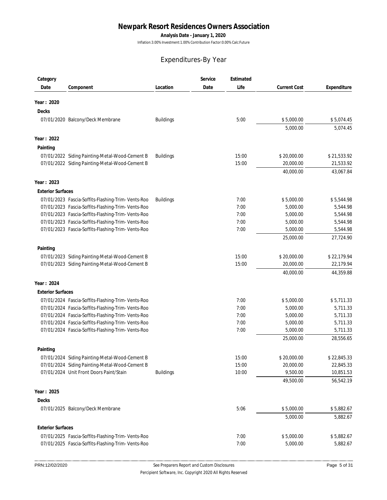**Analysis Date - January 1, 2020**

Inflation:3.00% Investment:1.00% Contribution Factor:0.00% Calc:Future

## Expenditures-By Year

| Category                 |                                                    |                  | Service | Estimated |                     |             |
|--------------------------|----------------------------------------------------|------------------|---------|-----------|---------------------|-------------|
| Date                     | Component                                          | Location         | Date    | Life      | <b>Current Cost</b> | Expenditure |
| Year: 2020               |                                                    |                  |         |           |                     |             |
| Decks                    |                                                    |                  |         |           |                     |             |
|                          |                                                    | <b>Buildings</b> |         | 5:00      | \$5,000.00          | \$5,074.45  |
|                          | 07/01/2020 Balcony/Deck Membrane                   |                  |         |           | 5,000.00            | 5,074.45    |
|                          |                                                    |                  |         |           |                     |             |
| Year: 2022               |                                                    |                  |         |           |                     |             |
| Painting                 |                                                    |                  |         |           |                     |             |
|                          | 07/01/2022 Siding Painting-Metal-Wood-Cement B     | <b>Buildings</b> |         | 15:00     | \$20,000.00         | \$21,533.92 |
|                          | 07/01/2022 Siding Painting-Metal-Wood-Cement B     |                  |         | 15:00     | 20,000.00           | 21,533.92   |
|                          |                                                    |                  |         |           | 40,000.00           | 43,067.84   |
| Year: 2023               |                                                    |                  |         |           |                     |             |
| <b>Exterior Surfaces</b> |                                                    |                  |         |           |                     |             |
|                          | 07/01/2023 Fascia-Soffits-Flashing-Trim- Vents-Roo | <b>Buildings</b> |         | 7:00      | \$5,000.00          | \$5,544.98  |
|                          | 07/01/2023 Fascia-Soffits-Flashing-Trim- Vents-Roo |                  |         | 7:00      | 5,000.00            | 5,544.98    |
|                          | 07/01/2023 Fascia-Soffits-Flashing-Trim- Vents-Roo |                  |         | 7:00      | 5,000.00            | 5,544.98    |
|                          | 07/01/2023 Fascia-Soffits-Flashing-Trim- Vents-Roo |                  |         | 7:00      | 5,000.00            | 5,544.98    |
|                          | 07/01/2023 Fascia-Soffits-Flashing-Trim- Vents-Roo |                  |         | 7:00      | 5,000.00            | 5,544.98    |
|                          |                                                    |                  |         |           | 25,000.00           | 27,724.90   |
| Painting                 |                                                    |                  |         |           |                     |             |
|                          | 07/01/2023 Siding Painting-Metal-Wood-Cement B     |                  |         | 15:00     | \$20,000.00         | \$22,179.94 |
|                          | 07/01/2023 Siding Painting-Metal-Wood-Cement B     |                  |         | 15:00     | 20,000.00           | 22,179.94   |
|                          |                                                    |                  |         |           | 40,000.00           | 44,359.88   |
| Year: 2024               |                                                    |                  |         |           |                     |             |
| <b>Exterior Surfaces</b> |                                                    |                  |         |           |                     |             |
|                          | 07/01/2024 Fascia-Soffits-Flashing-Trim- Vents-Roo |                  |         | 7:00      | \$5,000.00          | \$5,711.33  |
|                          | 07/01/2024 Fascia-Soffits-Flashing-Trim- Vents-Roo |                  |         | 7:00      | 5,000.00            | 5,711.33    |
|                          | 07/01/2024 Fascia-Soffits-Flashing-Trim- Vents-Roo |                  |         | 7:00      | 5,000.00            | 5,711.33    |
|                          | 07/01/2024 Fascia-Soffits-Flashing-Trim- Vents-Roo |                  |         | 7:00      | 5,000.00            | 5,711.33    |
|                          | 07/01/2024 Fascia-Soffits-Flashing-Trim- Vents-Roo |                  |         | 7:00      | 5,000.00            | 5,711.33    |
|                          |                                                    |                  |         |           | 25,000.00           | 28,556.65   |
| Painting                 |                                                    |                  |         |           |                     |             |
|                          | 07/01/2024 Siding Painting-Metal-Wood-Cement B     |                  |         | 15:00     | \$20,000.00         | \$22,845.33 |
|                          | 07/01/2024 Siding Painting-Metal-Wood-Cement B     |                  |         | 15:00     | 20,000.00           | 22,845.33   |
|                          | 07/01/2024 Unit Front Doors Paint/Stain            | <b>Buildings</b> |         | 10:00     | 9,500.00            | 10,851.53   |
|                          |                                                    |                  |         |           | 49,500.00           | 56,542.19   |
| Year: 2025               |                                                    |                  |         |           |                     |             |
| Decks                    |                                                    |                  |         |           |                     |             |
|                          | 07/01/2025 Balcony/Deck Membrane                   |                  |         | 5:06      | \$5,000.00          | \$5,882.67  |
|                          |                                                    |                  |         |           | 5,000.00            | 5,882.67    |
| <b>Exterior Surfaces</b> |                                                    |                  |         |           |                     |             |
|                          | 07/01/2025 Fascia-Soffits-Flashing-Trim- Vents-Roo |                  |         | 7:00      | \$5,000.00          | \$5,882.67  |
|                          | 07/01/2025 Fascia-Soffits-Flashing-Trim- Vents-Roo |                  |         | 7:00      | 5,000.00            | 5,882.67    |
|                          |                                                    |                  |         |           |                     |             |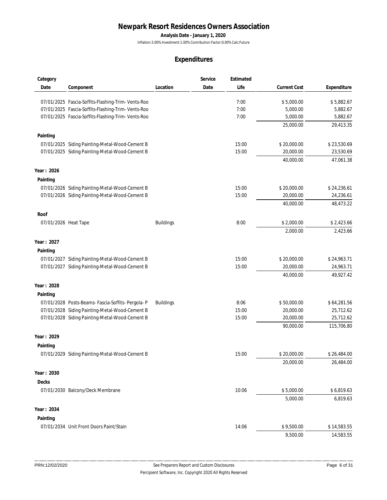**Analysis Date - January 1, 2020**

Inflation:3.00% Investment:1.00% Contribution Factor:0.00% Calc:Future

| Category             |                                                    |                  | Service | Estimated |                     |             |
|----------------------|----------------------------------------------------|------------------|---------|-----------|---------------------|-------------|
| Date                 | Component                                          | Location         | Date    | Life      | <b>Current Cost</b> | Expenditure |
|                      | 07/01/2025 Fascia-Soffits-Flashing-Trim- Vents-Roo |                  |         | 7:00      | \$5,000.00          | \$5,882.67  |
|                      | 07/01/2025 Fascia-Soffits-Flashing-Trim- Vents-Roo |                  |         | 7:00      | 5,000.00            | 5,882.67    |
|                      | 07/01/2025 Fascia-Soffits-Flashing-Trim- Vents-Roo |                  |         | 7:00      | 5,000.00            | 5,882.67    |
|                      |                                                    |                  |         |           | 25,000.00           | 29,413.35   |
| Painting             |                                                    |                  |         |           |                     |             |
|                      | 07/01/2025 Siding Painting-Metal-Wood-Cement B     |                  |         | 15:00     | \$20,000.00         | \$23,530.69 |
|                      | 07/01/2025 Siding Painting-Metal-Wood-Cement B     |                  |         | 15:00     | 20,000.00           | 23,530.69   |
|                      |                                                    |                  |         |           | 40,000.00           | 47,061.38   |
| Year: 2026           |                                                    |                  |         |           |                     |             |
| Painting             |                                                    |                  |         |           |                     |             |
|                      | 07/01/2026 Siding Painting-Metal-Wood-Cement B     |                  |         | 15:00     | \$20,000.00         | \$24,236.61 |
|                      | 07/01/2026 Siding Painting-Metal-Wood-Cement B     |                  |         | 15:00     | 20,000.00           | 24,236.61   |
|                      |                                                    |                  |         |           | 40,000.00           | 48,473.22   |
| Roof                 |                                                    |                  |         |           |                     |             |
| 07/01/2026 Heat Tape |                                                    | <b>Buildings</b> |         | 8:00      | \$2,000.00          | \$2,423.66  |
|                      |                                                    |                  |         |           | 2,000.00            | 2,423.66    |
| Year: 2027           |                                                    |                  |         |           |                     |             |
| Painting             |                                                    |                  |         |           |                     |             |
|                      | 07/01/2027 Siding Painting-Metal-Wood-Cement B     |                  |         | 15:00     | \$20,000.00         | \$24,963.71 |
|                      | 07/01/2027 Siding Painting-Metal-Wood-Cement B     |                  |         | 15:00     | 20,000.00           | 24,963.71   |
|                      |                                                    |                  |         |           | 40,000.00           | 49,927.42   |
| Year: 2028           |                                                    |                  |         |           |                     |             |
| Painting             |                                                    |                  |         |           |                     |             |
|                      | 07/01/2028 Posts-Beams- Fascia-Soffits- Pergola- P | <b>Buildings</b> |         | 8:06      | \$50,000.00         | \$64,281.56 |
|                      | 07/01/2028 Siding Painting-Metal-Wood-Cement B     |                  |         | 15:00     | 20,000.00           | 25,712.62   |
|                      | 07/01/2028 Siding Painting-Metal-Wood-Cement B     |                  |         | 15:00     | 20,000.00           | 25,712.62   |
|                      |                                                    |                  |         |           | 90,000.00           | 115,706.80  |
| Year: 2029           |                                                    |                  |         |           |                     |             |
| Painting             |                                                    |                  |         |           |                     |             |
|                      | 07/01/2029 Siding Painting-Metal-Wood-Cement B     |                  |         | 15:00     | \$20,000.00         | \$26,484.00 |
|                      |                                                    |                  |         |           | 20,000.00           | 26,484.00   |
| Year: 2030           |                                                    |                  |         |           |                     |             |
| Decks                |                                                    |                  |         |           |                     |             |
|                      | 07/01/2030 Balcony/Deck Membrane                   |                  |         | 10:06     | \$5,000.00          | \$6,819.63  |
|                      |                                                    |                  |         |           | 5,000.00            | 6,819.63    |
| Year: 2034           |                                                    |                  |         |           |                     |             |
| Painting             |                                                    |                  |         |           |                     |             |
|                      | 07/01/2034 Unit Front Doors Paint/Stain            |                  |         | 14:06     | \$9,500.00          | \$14,583.55 |
|                      |                                                    |                  |         |           | 9,500.00            | 14,583.55   |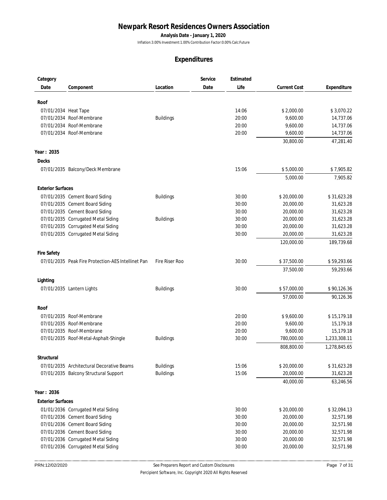**Analysis Date - January 1, 2020**

Inflation:3.00% Investment:1.00% Contribution Factor:0.00% Calc:Future

| Category                 |                                                    |                  | Service | Estimated |                     |              |
|--------------------------|----------------------------------------------------|------------------|---------|-----------|---------------------|--------------|
| Date                     | Component                                          | Location         | Date    | Life      | <b>Current Cost</b> | Expenditure  |
|                          |                                                    |                  |         |           |                     |              |
| Roof                     |                                                    |                  |         |           |                     |              |
| 07/01/2034 Heat Tape     |                                                    |                  |         | 14:06     | \$2,000.00          | \$3,070.22   |
|                          | 07/01/2034 Roof-Membrane                           | <b>Buildings</b> |         | 20:00     | 9,600.00            | 14,737.06    |
|                          | 07/01/2034 Roof-Membrane                           |                  |         | 20:00     | 9,600.00            | 14,737.06    |
|                          | 07/01/2034 Roof-Membrane                           |                  |         | 20:00     | 9,600.00            | 14,737.06    |
|                          |                                                    |                  |         |           | 30,800.00           | 47,281.40    |
| Year: 2035               |                                                    |                  |         |           |                     |              |
| Decks                    |                                                    |                  |         |           |                     |              |
|                          | 07/01/2035 Balcony/Deck Membrane                   |                  |         | 15:06     | \$5,000.00          | \$7,905.82   |
|                          |                                                    |                  |         |           | 5,000.00            | 7,905.82     |
| <b>Exterior Surfaces</b> |                                                    |                  |         |           |                     |              |
|                          | 07/01/2035 Cement Board Siding                     | <b>Buildings</b> |         | 30:00     | \$20,000.00         | \$31,623.28  |
|                          | 07/01/2035 Cement Board Siding                     |                  |         | 30:00     | 20,000.00           | 31,623.28    |
|                          | 07/01/2035 Cement Board Siding                     |                  |         | 30:00     | 20,000.00           | 31,623.28    |
|                          | 07/01/2035 Corrugated Metal Siding                 | <b>Buildings</b> |         | 30:00     | 20,000.00           | 31,623.28    |
|                          | 07/01/2035 Corrugated Metal Siding                 |                  |         | 30:00     | 20,000.00           | 31,623.28    |
|                          | 07/01/2035 Corrugated Metal Siding                 |                  |         | 30:00     | 20,000.00           | 31,623.28    |
|                          |                                                    |                  |         |           | 120,000.00          | 189,739.68   |
|                          |                                                    |                  |         |           |                     |              |
| <b>Fire Safety</b>       |                                                    |                  |         |           |                     |              |
|                          | 07/01/2035 Peak Fire Protection-AES Intellinet Pan | Fire Riser Roo   |         | 30:00     | \$37,500.00         | \$59,293.66  |
|                          |                                                    |                  |         |           | 37,500.00           | 59,293.66    |
| Lighting                 |                                                    |                  |         |           |                     |              |
|                          | 07/01/2035 Lantern Lights                          | <b>Buildings</b> |         | 30:00     | \$57,000.00         | \$90,126.36  |
|                          |                                                    |                  |         |           | 57,000.00           | 90,126.36    |
| Roof                     |                                                    |                  |         |           |                     |              |
|                          | 07/01/2035 Roof-Membrane                           |                  |         | 20:00     | \$9,600.00          | \$15,179.18  |
|                          | 07/01/2035 Roof-Membrane                           |                  |         | 20:00     | 9,600.00            | 15,179.18    |
|                          | 07/01/2035 Roof-Membrane                           |                  |         | 20:00     | 9,600.00            | 15,179.18    |
|                          | 07/01/2035 Roof-Metal-Asphalt-Shingle              | <b>Buildings</b> |         | 30:00     | 780,000.00          | 1,233,308.11 |
|                          |                                                    |                  |         |           | 808,800.00          | 1,278,845.65 |
| Structural               |                                                    |                  |         |           |                     |              |
|                          | 07/01/2035 Architectural Decorative Beams          | <b>Buildings</b> |         | 15:06     | \$20,000.00         | \$31,623.28  |
|                          | 07/01/2035 Balcony Structural Support              | <b>Buildings</b> |         | 15:06     | 20,000.00           | 31,623.28    |
|                          |                                                    |                  |         |           | 40,000.00           | 63,246.56    |
| Year: 2036               |                                                    |                  |         |           |                     |              |
| <b>Exterior Surfaces</b> |                                                    |                  |         |           |                     |              |
|                          | 01/01/2036 Corrugated Metal Siding                 |                  |         | 30:00     | \$20,000.00         | \$32,094.13  |
|                          | 07/01/2036 Cement Board Siding                     |                  |         | 30:00     | 20,000.00           | 32,571.98    |
|                          | 07/01/2036 Cement Board Siding                     |                  |         | 30:00     | 20,000.00           | 32,571.98    |
|                          | 07/01/2036 Cement Board Siding                     |                  |         | 30:00     | 20,000.00           | 32,571.98    |
|                          | 07/01/2036 Corrugated Metal Siding                 |                  |         | 30:00     | 20,000.00           | 32,571.98    |
|                          | 07/01/2036 Corrugated Metal Siding                 |                  |         | 30:00     |                     |              |
|                          |                                                    |                  |         |           | 20,000.00           | 32,571.98    |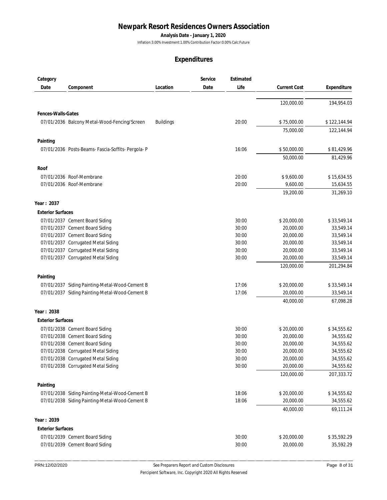**Analysis Date - January 1, 2020**

Inflation:3.00% Investment:1.00% Contribution Factor:0.00% Calc:Future

| Category                 |                                                    |                  | Service | Estimated |                     |              |
|--------------------------|----------------------------------------------------|------------------|---------|-----------|---------------------|--------------|
| Date                     | Component                                          | Location         | Date    | Life      | <b>Current Cost</b> | Expenditure  |
|                          |                                                    |                  |         |           |                     |              |
|                          |                                                    |                  |         |           | 120,000.00          | 194,954.03   |
| Fences-Walls-Gates       |                                                    |                  |         |           |                     |              |
|                          | 07/01/2036 Balcony Metal-Wood-Fencing/Screen       | <b>Buildings</b> |         | 20:00     | \$75,000.00         | \$122,144.94 |
|                          |                                                    |                  |         |           | 75,000.00           | 122,144.94   |
| Painting                 |                                                    |                  |         |           |                     |              |
|                          | 07/01/2036 Posts-Beams- Fascia-Soffits- Pergola- P |                  |         | 16:06     | \$50,000.00         | \$81,429.96  |
|                          |                                                    |                  |         |           | 50,000.00           | 81,429.96    |
| Roof                     |                                                    |                  |         |           |                     |              |
|                          | 07/01/2036 Roof-Membrane                           |                  |         | 20:00     | \$9,600.00          | \$15,634.55  |
|                          | 07/01/2036 Roof-Membrane                           |                  |         | 20:00     | 9,600.00            | 15,634.55    |
|                          |                                                    |                  |         |           | 19,200.00           | 31,269.10    |
| Year: 2037               |                                                    |                  |         |           |                     |              |
| <b>Exterior Surfaces</b> |                                                    |                  |         |           |                     |              |
|                          | 07/01/2037 Cement Board Siding                     |                  |         | 30:00     | \$20,000.00         | \$33,549.14  |
|                          | 07/01/2037 Cement Board Siding                     |                  |         | 30:00     | 20,000.00           | 33,549.14    |
|                          | 07/01/2037 Cement Board Siding                     |                  |         | 30:00     | 20,000.00           | 33,549.14    |
|                          | 07/01/2037 Corrugated Metal Siding                 |                  |         | 30:00     | 20,000.00           | 33,549.14    |
|                          | 07/01/2037 Corrugated Metal Siding                 |                  |         | 30:00     | 20,000.00           | 33,549.14    |
|                          | 07/01/2037 Corrugated Metal Siding                 |                  |         | 30:00     | 20,000.00           | 33,549.14    |
|                          |                                                    |                  |         |           | 120,000.00          | 201,294.84   |
| Painting                 |                                                    |                  |         |           |                     |              |
|                          | 07/01/2037 Siding Painting-Metal-Wood-Cement B     |                  |         | 17:06     | \$20,000.00         | \$33,549.14  |
|                          | 07/01/2037 Siding Painting-Metal-Wood-Cement B     |                  |         | 17:06     | 20,000.00           | 33,549.14    |
|                          |                                                    |                  |         |           | 40,000.00           | 67,098.28    |
| Year: 2038               |                                                    |                  |         |           |                     |              |
| <b>Exterior Surfaces</b> |                                                    |                  |         |           |                     |              |
|                          | 07/01/2038 Cement Board Siding                     |                  |         | 30:00     | \$20,000.00         | \$34,555.62  |
|                          | 07/01/2038 Cement Board Siding                     |                  |         | 30:00     | 20,000.00           | 34,555.62    |
|                          | 07/01/2038 Cement Board Siding                     |                  |         | 30:00     | 20,000.00           | 34,555.62    |
|                          | 07/01/2038 Corrugated Metal Siding                 |                  |         | 30:00     | 20,000.00           | 34,555.62    |
|                          | 07/01/2038 Corrugated Metal Siding                 |                  |         | 30:00     | 20,000.00           | 34,555.62    |
|                          | 07/01/2038 Corrugated Metal Siding                 |                  |         | 30:00     | 20,000.00           | 34,555.62    |
|                          |                                                    |                  |         |           | 120,000.00          | 207,333.72   |
| Painting                 |                                                    |                  |         |           |                     |              |
|                          | 07/01/2038 Siding Painting-Metal-Wood-Cement B     |                  |         | 18:06     | \$20,000.00         | \$34,555.62  |
|                          | 07/01/2038 Siding Painting-Metal-Wood-Cement B     |                  |         | 18:06     | 20,000.00           | 34,555.62    |
|                          |                                                    |                  |         |           | 40,000.00           | 69,111.24    |
| Year: 2039               |                                                    |                  |         |           |                     |              |
| <b>Exterior Surfaces</b> |                                                    |                  |         |           |                     |              |
|                          | 07/01/2039 Cement Board Siding                     |                  |         | 30:00     | \$20,000.00         | \$35,592.29  |
|                          | 07/01/2039 Cement Board Siding                     |                  |         | 30:00     | 20,000.00           | 35,592.29    |
|                          |                                                    |                  |         |           |                     |              |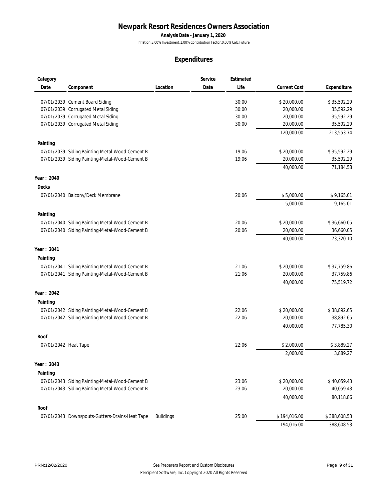**Analysis Date - January 1, 2020**

Inflation:3.00% Investment:1.00% Contribution Factor:0.00% Calc:Future

| Category             |                                                |                  | Service | Estimated |                     |              |
|----------------------|------------------------------------------------|------------------|---------|-----------|---------------------|--------------|
| Date                 | Component                                      | Location         | Date    | Life      | <b>Current Cost</b> | Expenditure  |
|                      |                                                |                  |         |           |                     |              |
|                      | 07/01/2039 Cement Board Siding                 |                  |         | 30:00     | \$20,000.00         | \$35,592.29  |
|                      | 07/01/2039 Corrugated Metal Siding             |                  |         | 30:00     | 20,000.00           | 35,592.29    |
|                      | 07/01/2039 Corrugated Metal Siding             |                  |         | 30:00     | 20,000.00           | 35,592.29    |
|                      | 07/01/2039 Corrugated Metal Siding             |                  |         | 30:00     | 20,000.00           | 35,592.29    |
|                      |                                                |                  |         |           | 120,000.00          | 213,553.74   |
| Painting             |                                                |                  |         |           |                     |              |
|                      | 07/01/2039 Siding Painting-Metal-Wood-Cement B |                  |         | 19:06     | \$20,000.00         | \$35,592.29  |
|                      | 07/01/2039 Siding Painting-Metal-Wood-Cement B |                  |         | 19:06     | 20,000.00           | 35,592.29    |
|                      |                                                |                  |         |           | 40,000.00           | 71,184.58    |
| Year: 2040           |                                                |                  |         |           |                     |              |
| Decks                |                                                |                  |         |           |                     |              |
|                      | 07/01/2040 Balcony/Deck Membrane               |                  |         | 20:06     | \$5,000.00          | \$9,165.01   |
|                      |                                                |                  |         |           | 5,000.00            | 9,165.01     |
|                      |                                                |                  |         |           |                     |              |
| Painting             |                                                |                  |         |           |                     |              |
|                      | 07/01/2040 Siding Painting-Metal-Wood-Cement B |                  |         | 20:06     | \$20,000.00         | \$36,660.05  |
|                      | 07/01/2040 Siding Painting-Metal-Wood-Cement B |                  |         | 20:06     | 20,000.00           | 36,660.05    |
|                      |                                                |                  |         |           | 40,000.00           | 73,320.10    |
| Year: 2041           |                                                |                  |         |           |                     |              |
| Painting             |                                                |                  |         |           |                     |              |
|                      | 07/01/2041 Siding Painting-Metal-Wood-Cement B |                  |         | 21:06     | \$20,000.00         | \$37,759.86  |
|                      | 07/01/2041 Siding Painting-Metal-Wood-Cement B |                  |         | 21:06     | 20,000.00           | 37,759.86    |
|                      |                                                |                  |         |           | 40,000.00           | 75,519.72    |
|                      |                                                |                  |         |           |                     |              |
| Year: 2042           |                                                |                  |         |           |                     |              |
| Painting             |                                                |                  |         |           |                     |              |
|                      | 07/01/2042 Siding Painting-Metal-Wood-Cement B |                  |         | 22:06     | \$20,000.00         | \$38,892.65  |
|                      | 07/01/2042 Siding Painting-Metal-Wood-Cement B |                  |         | 22:06     | 20,000.00           | 38,892.65    |
|                      |                                                |                  |         |           | 40,000.00           | 77,785.30    |
| Roof                 |                                                |                  |         |           |                     |              |
| 07/01/2042 Heat Tape |                                                |                  |         | 22:06     | \$2,000.00          | \$3,889.27   |
|                      |                                                |                  |         |           | 2,000.00            |              |
|                      |                                                |                  |         |           |                     | 3,889.27     |
| Year: 2043           |                                                |                  |         |           |                     |              |
| Painting             |                                                |                  |         |           |                     |              |
|                      | 07/01/2043 Siding Painting-Metal-Wood-Cement B |                  |         | 23:06     | \$20,000.00         | \$40,059.43  |
|                      | 07/01/2043 Siding Painting-Metal-Wood-Cement B |                  |         | 23:06     | 20,000.00           | 40,059.43    |
|                      |                                                |                  |         |           | 40,000.00           | 80,118.86    |
| Roof                 |                                                |                  |         |           |                     |              |
|                      | 07/01/2043 Downspouts-Gutters-Drains-Heat Tape | <b>Buildings</b> |         | 25:00     | \$194,016.00        | \$388,608.53 |
|                      |                                                |                  |         |           | 194,016.00          | 388,608.53   |
|                      |                                                |                  |         |           |                     |              |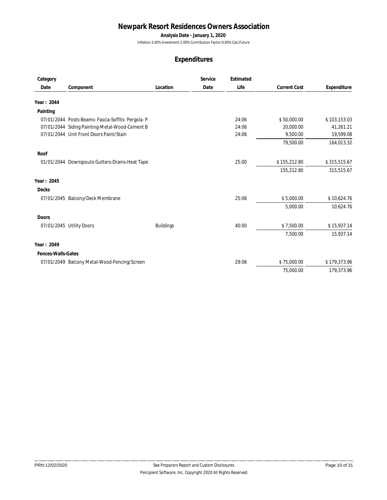**Analysis Date - January 1, 2020**

Inflation:3.00% Investment:1.00% Contribution Factor:0.00% Calc:Future

| Category           |                                                    |                  | Service | Estimated |                     |              |
|--------------------|----------------------------------------------------|------------------|---------|-----------|---------------------|--------------|
| Date               | Component                                          | Location         | Date    | Life      | <b>Current Cost</b> | Expenditure  |
| Year: 2044         |                                                    |                  |         |           |                     |              |
| Painting           |                                                    |                  |         |           |                     |              |
|                    | 07/01/2044 Posts-Beams- Fascia-Soffits- Pergola- P |                  |         | 24:06     | \$50,000.00         | \$103,153.03 |
|                    | 07/01/2044 Siding Painting-Metal-Wood-Cement B     |                  |         | 24:06     | 20,000.00           | 41,261.21    |
|                    | 07/01/2044 Unit Front Doors Paint/Stain            |                  |         | 24:06     | 9,500.00            | 19,599.08    |
|                    |                                                    |                  |         |           | 79,500.00           | 164,013.32   |
| Roof               |                                                    |                  |         |           |                     |              |
|                    | 01/01/2044 Downspouts-Gutters-Drains-Heat Tape     |                  |         | 25:00     | \$155,212.80        | \$315,515.67 |
|                    |                                                    |                  |         |           | 155,212.80          | 315,515.67   |
| Year: 2045         |                                                    |                  |         |           |                     |              |
| Decks              |                                                    |                  |         |           |                     |              |
|                    | 07/01/2045 Balcony/Deck Membrane                   |                  |         | 25:06     | \$5,000.00          | \$10,624.76  |
|                    |                                                    |                  |         |           | 5,000.00            | 10,624.76    |
| Doors              |                                                    |                  |         |           |                     |              |
|                    | 07/01/2045 Utility Doors                           | <b>Buildings</b> |         | 40:00     | \$7,500.00          | \$15,937.14  |
|                    |                                                    |                  |         |           | 7,500.00            | 15,937.14    |
| Year: 2049         |                                                    |                  |         |           |                     |              |
| Fences-Walls-Gates |                                                    |                  |         |           |                     |              |
|                    | 07/01/2049 Balcony Metal-Wood-Fencing/Screen       |                  |         | 29:06     | \$75,000.00         | \$179,373.96 |
|                    |                                                    |                  |         |           | 75,000.00           | 179,373.96   |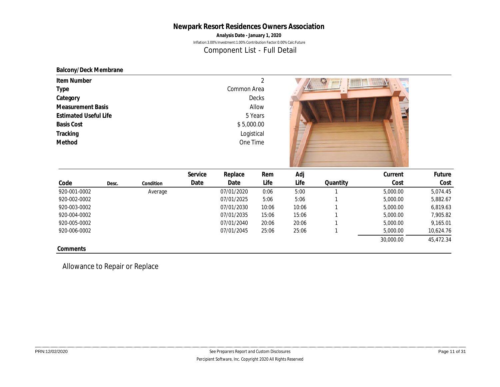**Analysis Date - January 1, 2020**

Inflation:3.00% Investment:1.00% Contribution Factor:0.00% Calc:Future

Component List - Full Detail

#### **Balcony/Deck Membrane**

| Item Number<br>Type<br>Category<br><b>Measurement Basis</b><br><b>Estimated Useful Life</b><br><b>Basis Cost</b><br>Tracking<br>Method |       |           |         | Common Area<br>\$5,000.00<br>Logistical<br>One Time | ◠<br>Decks<br>Allow<br>5 Years | Æ.<br>__ |          | $- - - 1$<br>E<br>E |          |  |
|----------------------------------------------------------------------------------------------------------------------------------------|-------|-----------|---------|-----------------------------------------------------|--------------------------------|----------|----------|---------------------|----------|--|
|                                                                                                                                        |       |           | Service | Replace                                             | Rem                            | Adj      |          | Current             | Future   |  |
| Code                                                                                                                                   | Desc. | Condition | Date    | Date                                                | Life                           | Life     | Quantity | Cost                | Cost     |  |
| 920-001-0002                                                                                                                           |       | Average   |         | 07/01/2020                                          | 0:06                           | 5:00     |          | 5,000.00            | 5,074.45 |  |

|              |       |           | <b>SEI AICE</b> | REPIQUE    | KEIII | Huj   |          | uurent    | rutul e   |
|--------------|-------|-----------|-----------------|------------|-------|-------|----------|-----------|-----------|
| Code         | Desc. | Condition | Date            | Date       | Life  | Life  | Quantity | Cost      | Cost      |
| 920-001-0002 |       | Average   |                 | 07/01/2020 | 0:06  | 5:00  |          | 5,000.00  | 5.074.45  |
| 920-002-0002 |       |           |                 | 07/01/2025 | 5:06  | 5:06  |          | 5,000.00  | 5,882.67  |
| 920-003-0002 |       |           |                 | 07/01/2030 | 10:06 | 10:06 |          | 5,000.00  | 6,819.63  |
| 920-004-0002 |       |           |                 | 07/01/2035 | 15:06 | 15:06 |          | 5,000.00  | 7,905.82  |
| 920-005-0002 |       |           |                 | 07/01/2040 | 20:06 | 20:06 |          | 5,000.00  | 9,165.01  |
| 920-006-0002 |       |           |                 | 07/01/2045 | 25:06 | 25:06 |          | 5,000.00  | 10,624.76 |
|              |       |           |                 |            |       |       |          | 30,000.00 | 45,472.34 |
| Comments     |       |           |                 |            |       |       |          |           |           |

Allowance to Repair or Replace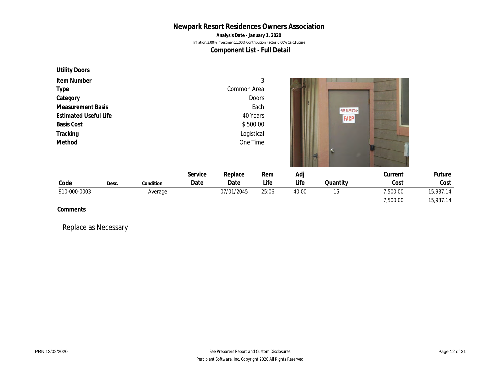**Analysis Date - January 1, 2020**

Inflation:3.00% Investment:1.00% Contribution Factor:0.00% Calc:Future

**Component List - Full Detail**

| Utility Doors                    |       |           |         |             |          |       |                   |          |           |
|----------------------------------|-------|-----------|---------|-------------|----------|-------|-------------------|----------|-----------|
| Item Number                      |       |           |         |             | 3        |       |                   |          |           |
| Type                             |       |           |         | Common Area |          |       |                   |          |           |
| Category<br>Doors                |       |           |         |             |          |       |                   |          |           |
| Each<br><b>Measurement Basis</b> |       |           |         |             |          |       | -FIRE RISER ROOM- |          |           |
| <b>Estimated Useful Life</b>     |       |           |         |             | 40 Years |       | FACP              |          |           |
| <b>Basis Cost</b>                |       |           |         |             | \$500.00 |       |                   |          |           |
| Tracking                         |       |           |         | Logistical  |          |       |                   |          |           |
| Method                           |       |           |         | One Time    |          |       |                   |          |           |
|                                  |       |           | Service | Replace     | Rem      | Adj   |                   | Current  | Future    |
| Code                             | Desc. | Condition | Date    | Date        | Life     | Life  | Quantity          | Cost     | Cost      |
| 910-000-0003                     |       | Average   |         | 07/01/2045  | 25:06    | 40:00 | 15                | 7,500.00 | 15,937.14 |
|                                  |       |           |         |             |          |       |                   |          |           |
|                                  |       |           |         |             |          |       |                   | 7,500.00 | 15,937.14 |

Replace as Necessary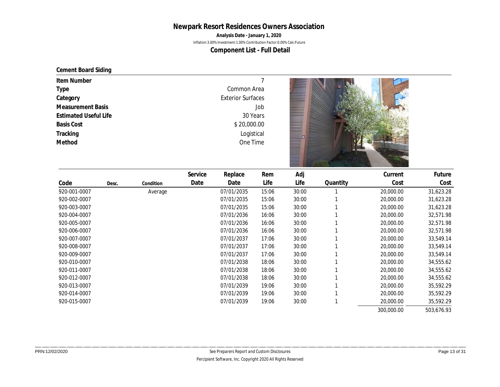**Analysis Date - January 1, 2020**

Inflation:3.00% Investment:1.00% Contribution Factor:0.00% Calc:Future

**Component List - Full Detail**

#### **Cement Board Siding**

| Item Number                  |                          |  |
|------------------------------|--------------------------|--|
| Type                         | Common Area              |  |
| Category                     | <b>Exterior Surfaces</b> |  |
| <b>Measurement Basis</b>     | Job                      |  |
| <b>Estimated Useful Life</b> | 30 Years                 |  |
| <b>Basis Cost</b>            | \$20,000.00              |  |
| Tracking                     | Logistical               |  |
| Method                       | One Time                 |  |
|                              |                          |  |
|                              |                          |  |

|              |       |           | Service | Replace    | Rem   | Adj   |          | Current    | Future     |
|--------------|-------|-----------|---------|------------|-------|-------|----------|------------|------------|
| Code         | Desc. | Condition | Date    | Date       | Life  | Life  | Quantity | Cost       | Cost       |
| 920-001-0007 |       | Average   |         | 07/01/2035 | 15:06 | 30:00 |          | 20,000.00  | 31,623.28  |
| 920-002-0007 |       |           |         | 07/01/2035 | 15:06 | 30:00 |          | 20,000.00  | 31,623.28  |
| 920-003-0007 |       |           |         | 07/01/2035 | 15:06 | 30:00 |          | 20,000.00  | 31,623.28  |
| 920-004-0007 |       |           |         | 07/01/2036 | 16:06 | 30:00 |          | 20,000.00  | 32,571.98  |
| 920-005-0007 |       |           |         | 07/01/2036 | 16:06 | 30:00 |          | 20,000.00  | 32,571.98  |
| 920-006-0007 |       |           |         | 07/01/2036 | 16:06 | 30:00 |          | 20,000.00  | 32,571.98  |
| 920-007-0007 |       |           |         | 07/01/2037 | 17:06 | 30:00 |          | 20,000.00  | 33,549.14  |
| 920-008-0007 |       |           |         | 07/01/2037 | 17:06 | 30:00 |          | 20,000.00  | 33,549.14  |
| 920-009-0007 |       |           |         | 07/01/2037 | 17:06 | 30:00 |          | 20,000.00  | 33,549.14  |
| 920-010-0007 |       |           |         | 07/01/2038 | 18:06 | 30:00 |          | 20,000.00  | 34,555.62  |
| 920-011-0007 |       |           |         | 07/01/2038 | 18:06 | 30:00 |          | 20,000.00  | 34,555.62  |
| 920-012-0007 |       |           |         | 07/01/2038 | 18:06 | 30:00 |          | 20,000.00  | 34,555.62  |
| 920-013-0007 |       |           |         | 07/01/2039 | 19:06 | 30:00 |          | 20,000.00  | 35,592.29  |
| 920-014-0007 |       |           |         | 07/01/2039 | 19:06 | 30:00 |          | 20,000.00  | 35,592.29  |
| 920-015-0007 |       |           |         | 07/01/2039 | 19:06 | 30:00 |          | 20,000.00  | 35,592.29  |
|              |       |           |         |            |       |       |          | 300,000.00 | 503,676.93 |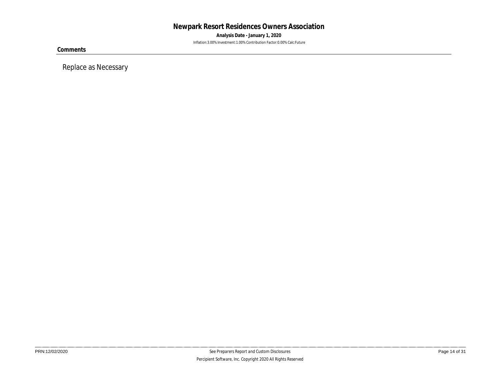**Analysis Date - January 1, 2020** Inflation:3.00% Investment:1.00% Contribution Factor:0.00% Calc:Future

**Comments**

Replace as Necessary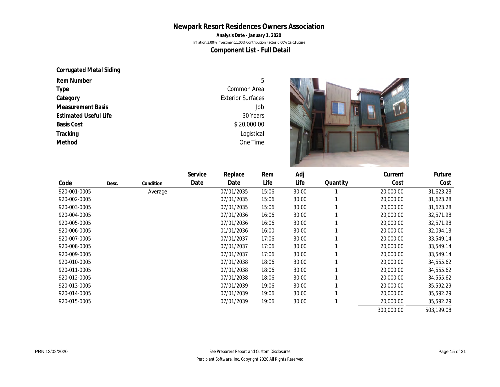**Analysis Date - January 1, 2020**

Inflation:3.00% Investment:1.00% Contribution Factor:0.00% Calc:Future

**Component List - Full Detail**

#### **Corrugated Metal Siding**

| Item Number                  | 5                        |  |
|------------------------------|--------------------------|--|
| Type                         | Common Area              |  |
| Category                     | <b>Exterior Surfaces</b> |  |
| <b>Measurement Basis</b>     | Job                      |  |
| <b>Estimated Useful Life</b> | 30 Years                 |  |
| <b>Basis Cost</b>            | \$20,000.00              |  |
| Tracking                     | Logistical               |  |
| Method                       | One Time                 |  |

|              |       |           | Service | Replace    | Rem   | Adj   |          | Current    | Future     |
|--------------|-------|-----------|---------|------------|-------|-------|----------|------------|------------|
| Code         | Desc. | Condition | Date    | Date       | Life  | Life  | Quantity | Cost       | Cost       |
| 920-001-0005 |       | Average   |         | 07/01/2035 | 15:06 | 30:00 |          | 20,000.00  | 31,623.28  |
| 920-002-0005 |       |           |         | 07/01/2035 | 15:06 | 30:00 |          | 20,000.00  | 31,623.28  |
| 920-003-0005 |       |           |         | 07/01/2035 | 15:06 | 30:00 |          | 20,000.00  | 31,623.28  |
| 920-004-0005 |       |           |         | 07/01/2036 | 16:06 | 30:00 |          | 20,000.00  | 32,571.98  |
| 920-005-0005 |       |           |         | 07/01/2036 | 16:06 | 30:00 |          | 20,000.00  | 32,571.98  |
| 920-006-0005 |       |           |         | 01/01/2036 | 16:00 | 30:00 |          | 20,000.00  | 32,094.13  |
| 920-007-0005 |       |           |         | 07/01/2037 | 17:06 | 30:00 |          | 20,000.00  | 33,549.14  |
| 920-008-0005 |       |           |         | 07/01/2037 | 17:06 | 30:00 |          | 20,000.00  | 33,549.14  |
| 920-009-0005 |       |           |         | 07/01/2037 | 17:06 | 30:00 |          | 20,000.00  | 33,549.14  |
| 920-010-0005 |       |           |         | 07/01/2038 | 18:06 | 30:00 |          | 20,000.00  | 34,555.62  |
| 920-011-0005 |       |           |         | 07/01/2038 | 18:06 | 30:00 |          | 20,000.00  | 34,555.62  |
| 920-012-0005 |       |           |         | 07/01/2038 | 18:06 | 30:00 |          | 20,000.00  | 34,555.62  |
| 920-013-0005 |       |           |         | 07/01/2039 | 19:06 | 30:00 |          | 20,000.00  | 35,592.29  |
| 920-014-0005 |       |           |         | 07/01/2039 | 19:06 | 30:00 |          | 20,000.00  | 35,592.29  |
| 920-015-0005 |       |           |         | 07/01/2039 | 19:06 | 30:00 |          | 20,000.00  | 35,592.29  |
|              |       |           |         |            |       |       |          | 300,000.00 | 503,199.08 |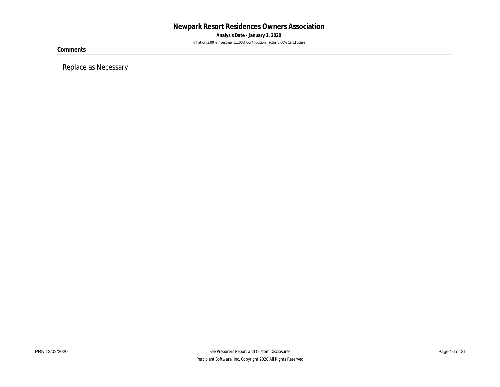**Analysis Date - January 1, 2020** Inflation:3.00% Investment:1.00% Contribution Factor:0.00% Calc:Future

**Comments**

Replace as Necessary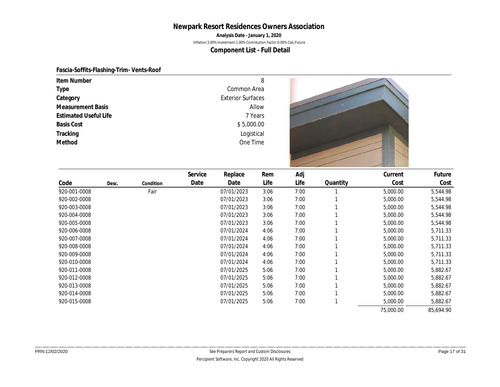**Analysis Date - January 1, 2020**

Inflation:3.00% Investment:1.00% Contribution Factor:0.00% Calc:Future

**Component List - Full Detail**

#### **Fascia-Soffits-Flashing-Trim- Vents-Roof**

| Item Number                  | 8                        |  |
|------------------------------|--------------------------|--|
| Type                         | Common Area              |  |
| Category                     | <b>Exterior Surfaces</b> |  |
| Measurement Basis            | Allow                    |  |
| <b>Estimated Useful Life</b> | 7 Years                  |  |
| <b>Basis Cost</b>            | \$5,000.00               |  |
| Tracking                     | Logistical               |  |
| Method                       | One Time                 |  |
|                              |                          |  |

|              |       |           | Service | Replace    | Rem  | Adj  |          | Current   | Future    |
|--------------|-------|-----------|---------|------------|------|------|----------|-----------|-----------|
| Code         | Desc. | Condition | Date    | Date       | Life | Life | Quantity | Cost      | Cost      |
| 920-001-0008 |       | Fair      |         | 07/01/2023 | 3:06 | 7:00 |          | 5,000.00  | 5,544.98  |
| 920-002-0008 |       |           |         | 07/01/2023 | 3:06 | 7:00 |          | 5,000.00  | 5,544.98  |
| 920-003-0008 |       |           |         | 07/01/2023 | 3:06 | 7:00 |          | 5,000.00  | 5,544.98  |
| 920-004-0008 |       |           |         | 07/01/2023 | 3:06 | 7:00 |          | 5,000.00  | 5,544.98  |
| 920-005-0008 |       |           |         | 07/01/2023 | 3:06 | 7:00 |          | 5,000.00  | 5,544.98  |
| 920-006-0008 |       |           |         | 07/01/2024 | 4:06 | 7:00 |          | 5,000.00  | 5,711.33  |
| 920-007-0008 |       |           |         | 07/01/2024 | 4:06 | 7:00 |          | 5,000.00  | 5,711.33  |
| 920-008-0008 |       |           |         | 07/01/2024 | 4:06 | 7:00 |          | 5,000.00  | 5,711.33  |
| 920-009-0008 |       |           |         | 07/01/2024 | 4:06 | 7:00 |          | 5,000.00  | 5,711.33  |
| 920-010-0008 |       |           |         | 07/01/2024 | 4:06 | 7:00 |          | 5,000.00  | 5,711.33  |
| 920-011-0008 |       |           |         | 07/01/2025 | 5:06 | 7:00 |          | 5,000.00  | 5,882.67  |
| 920-012-0008 |       |           |         | 07/01/2025 | 5:06 | 7:00 |          | 5,000.00  | 5,882.67  |
| 920-013-0008 |       |           |         | 07/01/2025 | 5:06 | 7:00 |          | 5,000.00  | 5,882.67  |
| 920-014-0008 |       |           |         | 07/01/2025 | 5:06 | 7:00 |          | 5,000.00  | 5,882.67  |
| 920-015-0008 |       |           |         | 07/01/2025 | 5:06 | 7:00 |          | 5,000.00  | 5,882.67  |
|              |       |           |         |            |      |      |          | 75,000.00 | 85,694.90 |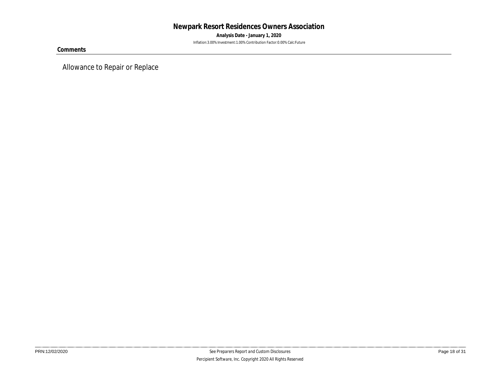**Analysis Date - January 1, 2020** Inflation:3.00% Investment:1.00% Contribution Factor:0.00% Calc:Future

**Comments**

Allowance to Repair or Replace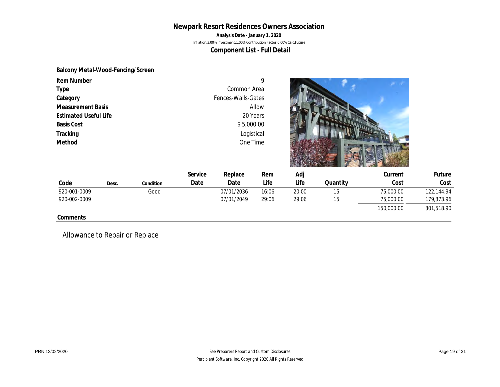**Analysis Date - January 1, 2020**

Inflation:3.00% Investment:1.00% Contribution Factor:0.00% Calc:Future

**Component List - Full Detail**

#### **Balcony Metal-Wood-Fencing/Screen**

| Item Number<br>Type<br>Category<br><b>Measurement Basis</b><br><b>Estimated Useful Life</b><br><b>Basis Cost</b><br>Tracking<br>Method |       |           |         | Common Area<br>Fences-Walls-Gates<br>20 Years<br>\$5,000.00<br>Logistical<br>One Time | 9<br>Allow |       |          | m a        |            |  |
|----------------------------------------------------------------------------------------------------------------------------------------|-------|-----------|---------|---------------------------------------------------------------------------------------|------------|-------|----------|------------|------------|--|
|                                                                                                                                        |       |           | Service | Replace                                                                               | Rem        | Adj   |          | Current    | Future     |  |
| Code                                                                                                                                   | Desc. | Condition | Date    | Date                                                                                  | Life       | Life  | Quantity | Cost       | Cost       |  |
| 920-001-0009                                                                                                                           |       | Good      |         | 07/01/2036                                                                            | 16:06      | 20:00 | 15       | 75,000.00  | 122,144.94 |  |
| 920-002-0009                                                                                                                           |       |           |         | 07/01/2049                                                                            | 29:06      | 29:06 | 15       | 75,000.00  | 179,373.96 |  |
|                                                                                                                                        |       |           |         |                                                                                       |            |       |          | 150,000.00 | 301,518.90 |  |
| Comments                                                                                                                               |       |           |         |                                                                                       |            |       |          |            |            |  |

Allowance to Repair or Replace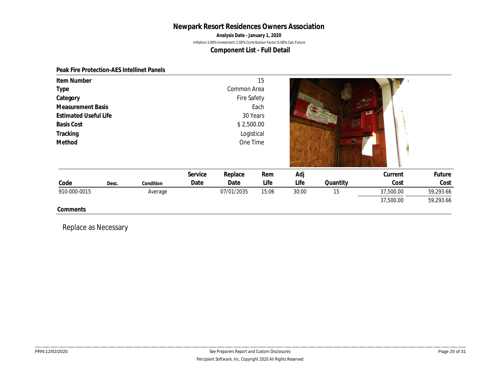**Analysis Date - January 1, 2020**

Inflation:3.00% Investment:1.00% Contribution Factor:0.00% Calc:Future

#### **Component List - Full Detail**

#### **Peak Fire Protection-AES Intellinet Panels**

| Item Number<br>Type<br>Category<br><b>Basis Cost</b><br>Tracking<br>Method | <b>Measurement Basis</b><br><b>Estimated Useful Life</b> |           |                 | Common Area<br>Fire Safety<br>30 Years<br>\$2,500.00<br>Logistical<br>One Time | 15<br>Each  |             | na <b>ka</b> na | GЯ              |                |  |
|----------------------------------------------------------------------------|----------------------------------------------------------|-----------|-----------------|--------------------------------------------------------------------------------|-------------|-------------|-----------------|-----------------|----------------|--|
| Code                                                                       | Desc.                                                    | Condition | Service<br>Date | Replace<br>Date                                                                | Rem<br>Life | Adj<br>Life | Quantity        | Current<br>Cost | Future<br>Cost |  |
| 910-000-0015                                                               |                                                          | Average   |                 | 07/01/2035                                                                     | 15:06       | 30:00       | 15              | 37,500.00       | 59,293.66      |  |
|                                                                            |                                                          |           |                 |                                                                                |             |             |                 | 37,500.00       | 59,293.66      |  |

Replace as Necessary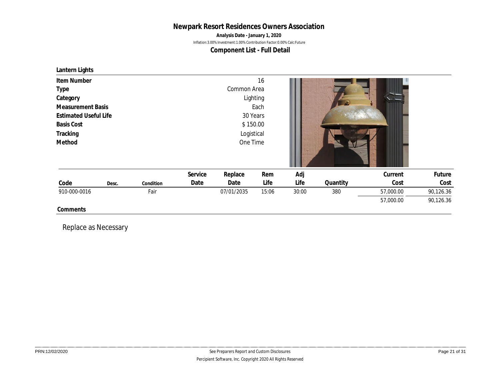#### **Newpark Resort Residences Owners Association Analysis Date - January 1, 2020** Inflation:3.00% Investment:1.00% Contribution Factor:0.00% Calc:Future

**Component List - Full Detail**

## **Lantern Lights**

| Item Number                  |       |           |         |             | 16       |       |          |           |           |  |
|------------------------------|-------|-----------|---------|-------------|----------|-------|----------|-----------|-----------|--|
| Type                         |       |           |         | Common Area |          |       |          |           |           |  |
| Category                     |       |           |         |             | Lighting |       |          |           |           |  |
| <b>Measurement Basis</b>     |       |           |         |             | Each     |       |          |           |           |  |
| <b>Estimated Useful Life</b> |       |           |         | 30 Years    |          |       |          |           |           |  |
| <b>Basis Cost</b>            |       |           |         | \$150.00    |          |       |          |           |           |  |
| Tracking                     |       |           |         | Logistical  |          |       |          |           |           |  |
| Method                       |       |           |         | One Time    |          |       |          |           |           |  |
|                              |       |           | Service | Replace     | Rem      | Adj   |          | Current   | Future    |  |
| Code                         | Desc. | Condition | Date    | Date        | Life     | Life  | Quantity | Cost      | Cost      |  |
| 910-000-0016                 |       | Fair      |         | 07/01/2035  | 15:06    | 30:00 | 380      | 57,000.00 | 90,126.36 |  |
|                              |       |           |         |             |          |       |          | 57,000.00 | 90,126.36 |  |
| Comments                     |       |           |         |             |          |       |          |           |           |  |

Replace as Necessary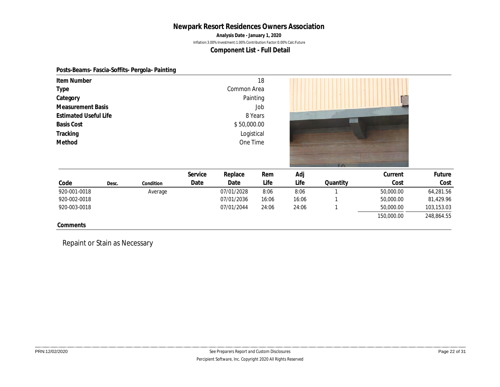**Analysis Date - January 1, 2020**

Inflation:3.00% Investment:1.00% Contribution Factor:0.00% Calc:Future

**Component List - Full Detail**

#### **Posts-Beams- Fascia-Soffits- Pergola- Painting**

| Item Number                  |       |           |         |             | 18      |       |                 |            |            |
|------------------------------|-------|-----------|---------|-------------|---------|-------|-----------------|------------|------------|
| Type                         |       |           |         | Common Area |         |       |                 |            |            |
| Category                     |       |           |         | Painting    |         |       |                 |            |            |
| <b>Measurement Basis</b>     |       |           |         |             | Job     |       |                 |            |            |
| <b>Estimated Useful Life</b> |       |           |         |             | 8 Years |       |                 |            |            |
| <b>Basis Cost</b>            |       |           |         | \$50,000.00 |         |       |                 |            |            |
| Tracking                     |       |           |         | Logistical  |         |       |                 |            |            |
| Method                       |       |           |         | One Time    |         |       |                 |            |            |
|                              |       |           |         |             |         |       |                 |            |            |
|                              |       |           | Service | Replace     | Rem     | Adj   | 30 <sup>h</sup> | Current    | Future     |
| Code                         | Desc. | Condition | Date    | Date        | Life    | Life  | Quantity        | Cost       | Cost       |
| 920-001-0018                 |       | Average   |         | 07/01/2028  | 8:06    | 8:06  |                 | 50,000.00  | 64,281.56  |
| 920-002-0018                 |       |           |         | 07/01/2036  | 16:06   | 16:06 |                 | 50,000.00  | 81,429.96  |
| 920-003-0018                 |       |           |         | 07/01/2044  | 24:06   | 24:06 |                 | 50,000.00  | 103,153.03 |
|                              |       |           |         |             |         |       |                 | 150,000.00 | 248,864.55 |
| Comments                     |       |           |         |             |         |       |                 |            |            |

Repaint or Stain as Necessary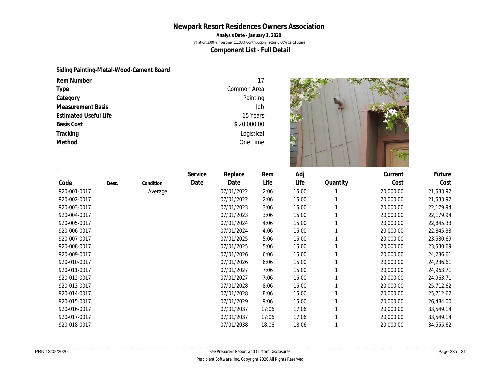**Analysis Date - January 1, 2020**

Inflation:3.00% Investment:1.00% Contribution Factor:0.00% Calc:Future

**Component List - Full Detail**

#### **Siding Painting-Metal-Wood-Cement Board**

| Item Number                  | 17          |  |
|------------------------------|-------------|--|
| Type                         | Common Area |  |
| Category                     | Painting    |  |
| <b>Measurement Basis</b>     | Job         |  |
| <b>Estimated Useful Life</b> | 15 Years    |  |
| <b>Basis Cost</b>            | \$20,000.00 |  |
| Tracking                     | Logistical  |  |
| Method                       | One Time    |  |

|              |       |           | Service | Replace    | Rem   | Adj   |          | Current   | Future    |
|--------------|-------|-----------|---------|------------|-------|-------|----------|-----------|-----------|
| Code         | Desc. | Condition | Date    | Date       | Life  | Life  | Quantity | Cost      | Cost      |
| 920-001-0017 |       | Average   |         | 07/01/2022 | 2:06  | 15:00 |          | 20,000.00 | 21,533.92 |
| 920-002-0017 |       |           |         | 07/01/2022 | 2:06  | 15:00 |          | 20,000.00 | 21,533.92 |
| 920-003-0017 |       |           |         | 07/01/2023 | 3:06  | 15:00 |          | 20,000.00 | 22,179.94 |
| 920-004-0017 |       |           |         | 07/01/2023 | 3:06  | 15:00 |          | 20,000.00 | 22,179.94 |
| 920-005-0017 |       |           |         | 07/01/2024 | 4:06  | 15:00 |          | 20,000.00 | 22,845.33 |
| 920-006-0017 |       |           |         | 07/01/2024 | 4:06  | 15:00 |          | 20,000.00 | 22,845.33 |
| 920-007-0017 |       |           |         | 07/01/2025 | 5:06  | 15:00 |          | 20,000.00 | 23,530.69 |
| 920-008-0017 |       |           |         | 07/01/2025 | 5:06  | 15:00 |          | 20,000.00 | 23,530.69 |
| 920-009-0017 |       |           |         | 07/01/2026 | 6:06  | 15:00 |          | 20,000.00 | 24,236.61 |
| 920-010-0017 |       |           |         | 07/01/2026 | 6:06  | 15:00 |          | 20,000.00 | 24,236.61 |
| 920-011-0017 |       |           |         | 07/01/2027 | 7:06  | 15:00 |          | 20,000.00 | 24,963.71 |
| 920-012-0017 |       |           |         | 07/01/2027 | 7:06  | 15:00 |          | 20,000.00 | 24,963.71 |
| 920-013-0017 |       |           |         | 07/01/2028 | 8:06  | 15:00 |          | 20,000.00 | 25,712.62 |
| 920-014-0017 |       |           |         | 07/01/2028 | 8:06  | 15:00 |          | 20,000.00 | 25,712.62 |
| 920-015-0017 |       |           |         | 07/01/2029 | 9:06  | 15:00 |          | 20,000.00 | 26,484.00 |
| 920-016-0017 |       |           |         | 07/01/2037 | 17:06 | 17:06 |          | 20,000.00 | 33,549.14 |
| 920-017-0017 |       |           |         | 07/01/2037 | 17:06 | 17:06 |          | 20,000.00 | 33,549.14 |
| 920-018-0017 |       |           |         | 07/01/2038 | 18:06 | 18:06 |          | 20,000.00 | 34,555.62 |
|              |       |           |         |            |       |       |          |           |           |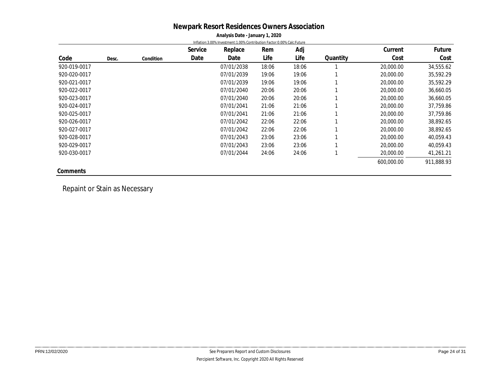#### **Newpark Resort Residences Owners Association Analysis Date - January 1, 2020**

|              |       |           |         | $\frac{1}{2}$ and $\frac{1}{2}$ batter same and $\frac{1}{2}$ is the set of |       |       |          |            |            |
|--------------|-------|-----------|---------|-----------------------------------------------------------------------------|-------|-------|----------|------------|------------|
|              |       |           |         | Inflation:3.00% Investment:1.00% Contribution Factor:0.00% Calc:Future      |       |       |          |            |            |
|              |       |           | Service | Replace                                                                     | Rem   | Adj   |          | Current    | Future     |
| Code         | Desc. | Condition | Date    | Date                                                                        | Life  | Life  | Quantity | Cost       | Cost       |
| 920-019-0017 |       |           |         | 07/01/2038                                                                  | 18:06 | 18:06 |          | 20,000.00  | 34,555.62  |
| 920-020-0017 |       |           |         | 07/01/2039                                                                  | 19:06 | 19:06 |          | 20,000.00  | 35,592.29  |
| 920-021-0017 |       |           |         | 07/01/2039                                                                  | 19:06 | 19:06 |          | 20,000.00  | 35,592.29  |
| 920-022-0017 |       |           |         | 07/01/2040                                                                  | 20:06 | 20:06 |          | 20,000.00  | 36,660.05  |
| 920-023-0017 |       |           |         | 07/01/2040                                                                  | 20:06 | 20:06 |          | 20,000.00  | 36,660.05  |
| 920-024-0017 |       |           |         | 07/01/2041                                                                  | 21:06 | 21:06 |          | 20,000.00  | 37,759.86  |
| 920-025-0017 |       |           |         | 07/01/2041                                                                  | 21:06 | 21:06 |          | 20,000.00  | 37,759.86  |
| 920-026-0017 |       |           |         | 07/01/2042                                                                  | 22:06 | 22:06 |          | 20,000.00  | 38,892.65  |
| 920-027-0017 |       |           |         | 07/01/2042                                                                  | 22:06 | 22:06 |          | 20,000.00  | 38,892.65  |
| 920-028-0017 |       |           |         | 07/01/2043                                                                  | 23:06 | 23:06 |          | 20,000.00  | 40,059.43  |
| 920-029-0017 |       |           |         | 07/01/2043                                                                  | 23:06 | 23:06 |          | 20,000.00  | 40,059.43  |
| 920-030-0017 |       |           |         | 07/01/2044                                                                  | 24:06 | 24:06 |          | 20,000.00  | 41,261.21  |
|              |       |           |         |                                                                             |       |       |          | 600,000.00 | 911,888.93 |
| Comments     |       |           |         |                                                                             |       |       |          |            |            |

Repaint or Stain as Necessary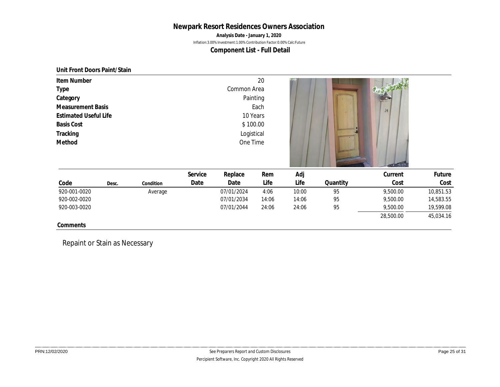**Analysis Date - January 1, 2020**

Inflation:3.00% Investment:1.00% Contribution Factor:0.00% Calc:Future

**Component List - Full Detail**

**Unit Front Doors Paint/Stain**

| Item Number                                       |       |           |             |            | 20    |       |          |           |           |
|---------------------------------------------------|-------|-----------|-------------|------------|-------|-------|----------|-----------|-----------|
| Type                                              |       |           | Common Area |            |       |       |          |           |           |
| Category                                          |       |           |             | Painting   |       |       |          |           |           |
| <b>Measurement Basis</b>                          |       |           |             |            | Each  |       |          | 24        |           |
| <b>Estimated Useful Life</b><br><b>Basis Cost</b> |       |           |             | 10 Years   |       |       |          |           |           |
|                                                   |       |           |             | \$100.00   |       |       |          |           |           |
| Tracking                                          |       |           |             | Logistical |       |       |          |           |           |
| Method                                            |       |           | One Time    |            |       |       |          |           |           |
|                                                   |       |           | Service     | Replace    | Rem   | Adj   |          | Current   | Future    |
| Code                                              | Desc. | Condition | Date        | Date       | Life  | Life  | Quantity | Cost      | Cost      |
| 920-001-0020                                      |       | Average   |             | 07/01/2024 | 4:06  | 10:00 | 95       | 9,500.00  | 10,851.53 |
| 920-002-0020                                      |       |           |             | 07/01/2034 | 14:06 | 14:06 | 95       | 9,500.00  | 14,583.55 |
| 920-003-0020                                      |       |           |             | 07/01/2044 | 24:06 | 24:06 | 95       | 9,500.00  | 19,599.08 |
|                                                   |       |           |             |            |       |       |          | 28,500.00 | 45,034.16 |
| Comments                                          |       |           |             |            |       |       |          |           |           |

Repaint or Stain as Necessary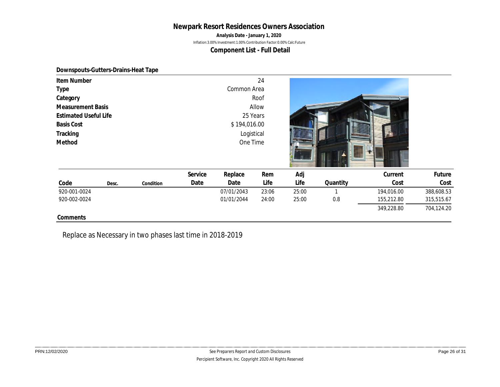**Analysis Date - January 1, 2020**

Inflation:3.00% Investment:1.00% Contribution Factor:0.00% Calc:Future

**Component List - Full Detail**

#### **Downspouts-Gutters-Drains-Heat Tape**

| Item Number                   |       |           |         |              | 24    |       |          |            |            |  |  |
|-------------------------------|-------|-----------|---------|--------------|-------|-------|----------|------------|------------|--|--|
| Type                          |       |           |         | Common Area  |       |       |          |            |            |  |  |
| Category                      |       |           |         |              | Roof  |       |          |            |            |  |  |
| Measurement Basis             |       |           |         |              | Allow |       |          |            |            |  |  |
| <b>Estimated Useful Life</b>  |       |           |         | 25 Years     |       |       |          |            |            |  |  |
| <b>Basis Cost</b><br>Tracking |       |           |         | \$194,016.00 |       |       |          |            |            |  |  |
|                               |       |           |         | Logistical   |       |       |          |            |            |  |  |
| Method                        |       |           |         | One Time     |       |       |          |            |            |  |  |
|                               |       |           | Service | Replace      | Rem   | Adj   |          | Current    | Future     |  |  |
| Code                          | Desc. | Condition | Date    | Date         | Life  | Life  | Quantity | Cost       | Cost       |  |  |
| 920-001-0024                  |       |           |         | 07/01/2043   | 23:06 | 25:00 |          | 194,016.00 | 388,608.53 |  |  |
| 920-002-0024                  |       |           |         | 01/01/2044   | 24:00 | 25:00 | 0.8      | 155,212.80 | 315,515.67 |  |  |
|                               |       |           |         |              |       |       |          | 349,228.80 | 704,124.20 |  |  |
| Comments                      |       |           |         |              |       |       |          |            |            |  |  |

Replace as Necessary in two phases last time in 2018-2019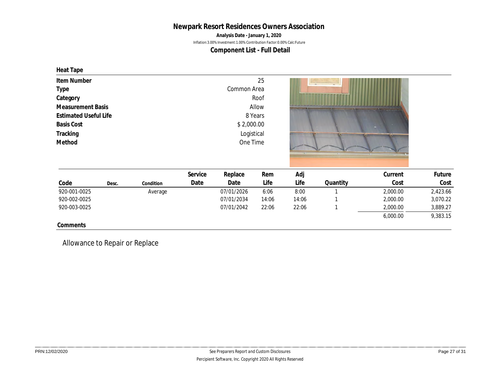**Analysis Date - January 1, 2020**

Inflation:3.00% Investment:1.00% Contribution Factor:0.00% Calc:Future

**Component List - Full Detail**

**Heat Tape**

| Item Number<br>Type<br>Category<br><b>Measurement Basis</b><br><b>Estimated Useful Life</b><br><b>Basis Cost</b><br>Tracking<br>Method | Common Area<br>Roof<br>Allow<br>8 Years<br>\$2,000.00<br>Logistical<br>One Time |           | 25      |            |       |       |          |          |          |  |
|----------------------------------------------------------------------------------------------------------------------------------------|---------------------------------------------------------------------------------|-----------|---------|------------|-------|-------|----------|----------|----------|--|
|                                                                                                                                        |                                                                                 |           | Service | Replace    | Rem   | Adj   |          | Current  | Future   |  |
| Code                                                                                                                                   | Desc.                                                                           | Condition | Date    | Date       | Life  | Life  | Quantity | Cost     | Cost     |  |
| 920-001-0025                                                                                                                           |                                                                                 | Average   |         | 07/01/2026 | 6:06  | 8:00  |          | 2,000.00 | 2,423.66 |  |
| 920-002-0025                                                                                                                           |                                                                                 |           |         | 07/01/2034 | 14:06 | 14:06 |          | 2,000.00 | 3,070.22 |  |
| 920-003-0025                                                                                                                           |                                                                                 |           |         | 07/01/2042 | 22:06 | 22:06 |          | 2,000.00 | 3,889.27 |  |
|                                                                                                                                        |                                                                                 |           |         |            |       |       |          | 6.000.00 | 9.383.15 |  |

**Comments**

Allowance to Repair or Replace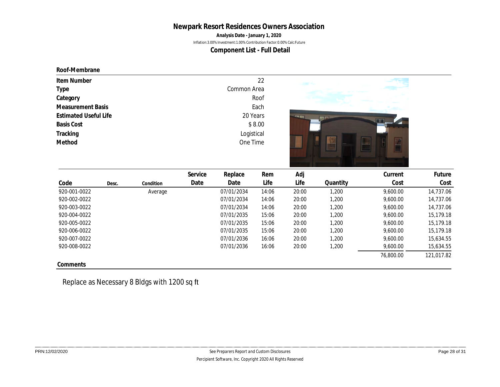**Analysis Date - January 1, 2020**

Inflation:3.00% Investment:1.00% Contribution Factor:0.00% Calc:Future

**Component List - Full Detail**

**Roof-Membrane**

| Item Number                  | 22          |                                |
|------------------------------|-------------|--------------------------------|
| Type                         | Common Area |                                |
| Category                     | Roof        |                                |
| <b>Measurement Basis</b>     | Each        |                                |
| <b>Estimated Useful Life</b> | 20 Years    | <b>PERSONAL PROPERTY</b><br>mm |
| <b>Basis Cost</b>            | \$8.00      |                                |
| Tracking                     | Logistical  |                                |
| Method                       | One Time    |                                |

|              |       |           | Service | Replace    | Rem   | Adj   |          | Current   | Future     |
|--------------|-------|-----------|---------|------------|-------|-------|----------|-----------|------------|
| Code         | Desc. | Condition | Date    | Date       | Life  | Life  | Quantity | Cost      | Cost       |
| 920-001-0022 |       | Average   |         | 07/01/2034 | 14:06 | 20:00 | 1,200    | 9,600.00  | 14,737.06  |
| 920-002-0022 |       |           |         | 07/01/2034 | 14:06 | 20:00 | 1,200    | 9,600.00  | 14,737.06  |
| 920-003-0022 |       |           |         | 07/01/2034 | 14:06 | 20:00 | 1,200    | 9,600.00  | 14,737.06  |
| 920-004-0022 |       |           |         | 07/01/2035 | 15:06 | 20:00 | 1,200    | 9,600.00  | 15,179.18  |
| 920-005-0022 |       |           |         | 07/01/2035 | 15:06 | 20:00 | 1,200    | 9,600.00  | 15,179.18  |
| 920-006-0022 |       |           |         | 07/01/2035 | 15:06 | 20:00 | 1,200    | 9,600.00  | 15,179.18  |
| 920-007-0022 |       |           |         | 07/01/2036 | 16:06 | 20:00 | 1,200    | 9,600.00  | 15,634.55  |
| 920-008-0022 |       |           |         | 07/01/2036 | 16:06 | 20:00 | 1,200    | 9,600.00  | 15,634.55  |
|              |       |           |         |            |       |       |          | 76,800.00 | 121,017.82 |
| Comments     |       |           |         |            |       |       |          |           |            |

Replace as Necessary 8 Bldgs with 1200 sq ft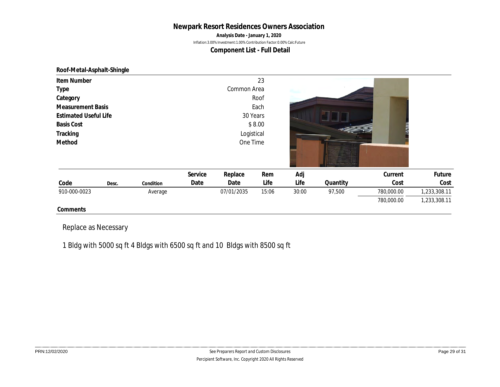**Analysis Date - January 1, 2020**

Inflation:3.00% Investment:1.00% Contribution Factor:0.00% Calc:Future

**Component List - Full Detail**

**Roof-Metal-Asphalt-Shingle**

| Item Number                  |           |            |             | 23     |       |          |             |              |
|------------------------------|-----------|------------|-------------|--------|-------|----------|-------------|--------------|
| Type                         |           |            | Common Area |        |       |          |             |              |
| Category                     |           |            |             | Roof   |       |          |             |              |
| <b>Measurement Basis</b>     |           |            |             | Each   |       |          |             |              |
| <b>Estimated Useful Life</b> |           |            | 30 Years    |        |       |          |             |              |
| <b>Basis Cost</b>            |           |            |             | \$8.00 |       |          | <b>WIND</b> |              |
| Tracking                     |           | Logistical |             |        |       |          |             |              |
| Method                       |           |            | One Time    |        |       |          |             |              |
|                              |           |            |             |        |       |          |             |              |
|                              |           |            |             |        |       |          |             |              |
|                              |           | Service    | Replace     | Rem    | Adj   |          | Current     | Future       |
| Code<br>Desc.                | Condition | Date       | Date        | Life   | Life  | Quantity | Cost        | Cost         |
| 910-000-0023                 | Average   |            | 07/01/2035  | 15:06  | 30:00 | 97,500   | 780,000.00  | 1,233,308.11 |
|                              |           |            |             |        |       |          | 780,000.00  | 1,233,308.11 |
| Comments                     |           |            |             |        |       |          |             |              |

Replace as Necessary

1 Bldg with 5000 sq ft 4 Bldgs with 6500 sq ft and 10 Bldgs with 8500 sq ft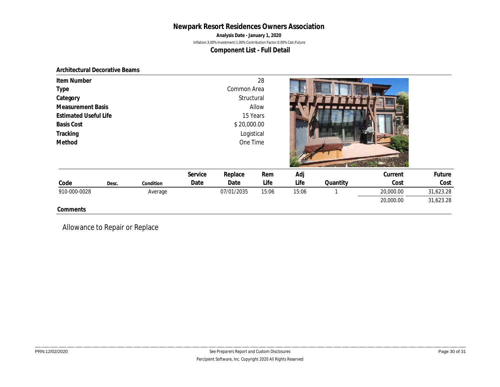**Analysis Date - January 1, 2020**

Inflation:3.00% Investment:1.00% Contribution Factor:0.00% Calc:Future

**Component List - Full Detail**

#### **Architectural Decorative Beams**

| Item Number                   |       |           |                           |                           | 28    |       |          |           |           |
|-------------------------------|-------|-----------|---------------------------|---------------------------|-------|-------|----------|-----------|-----------|
| Type<br>Category              |       |           |                           | Common Area<br>Structural |       |       |          |           |           |
| <b>Measurement Basis</b>      |       |           |                           |                           | Allow |       |          |           |           |
| <b>Estimated Useful Life</b>  |       |           |                           | 15 Years                  |       |       |          |           |           |
| <b>Basis Cost</b><br>Tracking |       |           | \$20,000.00<br>Logistical |                           |       |       |          |           |           |
| Method                        |       |           |                           | One Time                  |       |       |          |           |           |
|                               |       |           |                           |                           |       |       |          |           |           |
|                               |       |           |                           |                           |       |       |          |           |           |
|                               |       |           | Service                   | Replace                   | Rem   | Adj   |          | Current   | Future    |
| Code                          | Desc. | Condition | Date                      | Date                      | Life  | Life  | Quantity | Cost      | Cost      |
| 910-000-0028                  |       | Average   |                           | 07/01/2035                | 15:06 | 15:06 |          | 20,000.00 | 31,623.28 |
|                               |       |           |                           |                           |       |       |          | 20,000.00 | 31,623.28 |
| Comments                      |       |           |                           |                           |       |       |          |           |           |

Allowance to Repair or Replace